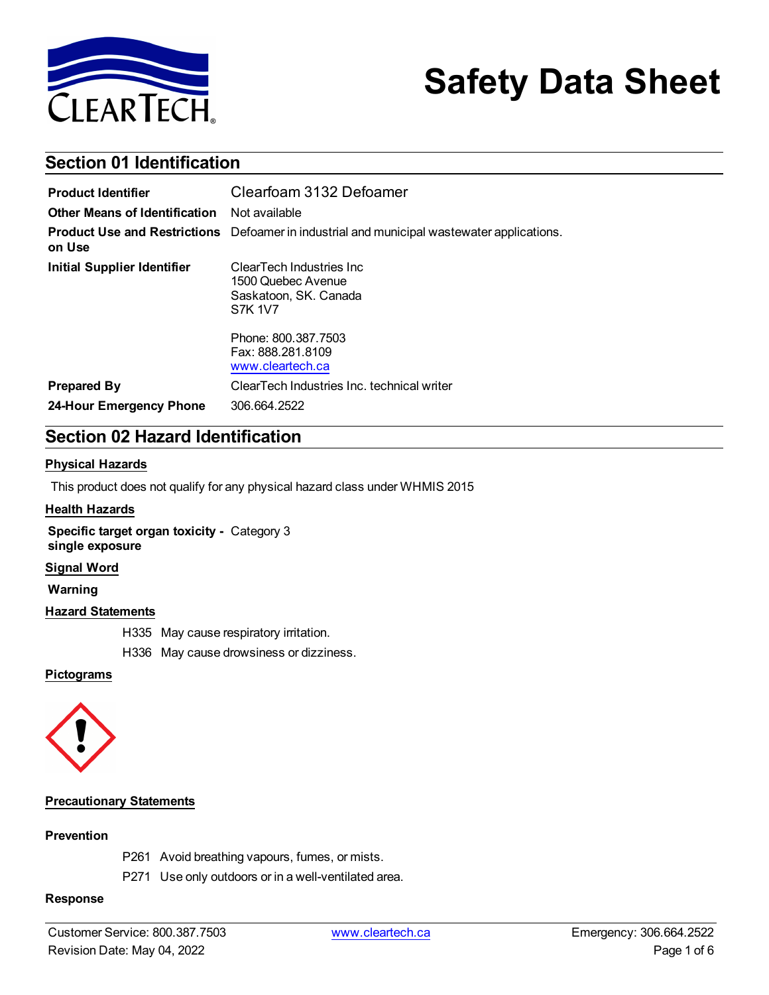

# **Safety Data Sheet**

# **Section 01 Identification**

| <b>Product Identifier</b>     | Clearfoam 3132 Defoamer                                                                                                                                        |
|-------------------------------|----------------------------------------------------------------------------------------------------------------------------------------------------------------|
| Other Means of Identification | Not available                                                                                                                                                  |
| on Use                        | <b>Product Use and Restrictions</b> Defoamer in industrial and municipal wastewater applications.                                                              |
| Initial Supplier Identifier   | ClearTech Industries Inc.<br>1500 Quebec Avenue<br>Saskatoon, SK. Canada<br><b>S7K 1V7</b><br>Phone: 800, 387, 7503<br>Fax: 888, 281, 8109<br>www.cleartech.ca |
| <b>Prepared By</b>            | ClearTech Industries Inc. technical writer                                                                                                                     |
| 24-Hour Emergency Phone       | 306.664.2522                                                                                                                                                   |

# **Section 02 Hazard Identification**

#### **Physical Hazards**

This product does not qualify for any physical hazard class under WHMIS 2015

#### **Health Hazards**

**Specific target organ toxicity -** Category 3 **single exposure**

#### **Signal Word**

**Warning**

#### **Hazard Statements**

H335 May cause respiratory irritation.

H336 May cause drowsiness or dizziness.

#### **Pictograms**



#### **Precautionary Statements**

#### **Prevention**

- P261 Avoid breathing vapours, fumes, or mists.
- P271 Use only outdoors or in a well-ventilated area.

#### **Response**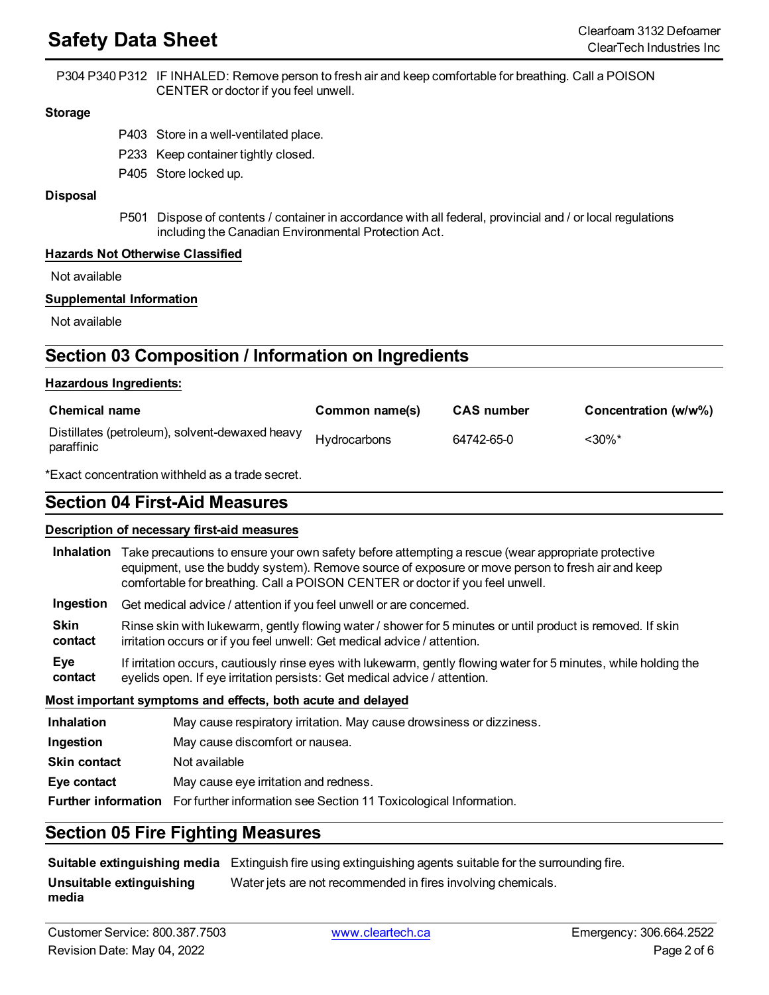# **Safety Data Sheet** Clearfoam <sup>3132</sup> Defoamer

P304 P340 P312 IF INHALED: Remove person to fresh air and keep comfortable for breathing. Call a POISON CENTER or doctor if you feel unwell.

#### **Storage**

- P403 Store in a well-ventilated place.
- P233 Keep container tightly closed.
- P405 Store locked up.

#### **Disposal**

P501 Dispose of contents / container in accordance with all federal, provincial and / or local regulations including the Canadian Environmental Protection Act.

#### **Hazards Not Otherwise Classified**

Not available

#### **Supplemental Information**

Not available

# **Section 03 Composition / Information on Ingredients**

#### **Hazardous Ingredients:**

| <b>Chemical name</b>                                         | Common name(s) | <b>CAS</b> number | Concentration (w/w%) |
|--------------------------------------------------------------|----------------|-------------------|----------------------|
| Distillates (petroleum), solvent-dewaxed heavy<br>paraffinic | Hydrocarbons   | 64742-65-0        | $< 30\%$ *           |

\*Exact concentration withheld as a trade secret.

# **Section 04 First-Aid Measures**

#### **Description of necessary first-aid measures**

| <b>Inhalation</b>                                                                            | Take precautions to ensure your own safety before attempting a rescue (wear appropriate protective<br>equipment, use the buddy system). Remove source of exposure or move person to fresh air and keep<br>comfortable for breathing. Call a POISON CENTER or doctor if you feel unwell. |  |
|----------------------------------------------------------------------------------------------|-----------------------------------------------------------------------------------------------------------------------------------------------------------------------------------------------------------------------------------------------------------------------------------------|--|
| Ingestion                                                                                    | Get medical advice / attention if you feel unwell or are concerned.                                                                                                                                                                                                                     |  |
| <b>Skin</b><br>contact                                                                       | Rinse skin with lukewarm, gently flowing water / shower for 5 minutes or until product is removed. If skin<br>irritation occurs or if you feel unwell: Get medical advice / attention.                                                                                                  |  |
| Eye<br>contact                                                                               | If irritation occurs, cautiously rinse eyes with lukewarm, gently flowing water for 5 minutes, while holding the<br>eyelids open. If eye irritation persists: Get medical advice / attention.                                                                                           |  |
| Most important symptoms and effects, both acute and delayed                                  |                                                                                                                                                                                                                                                                                         |  |
| <b>Inhalation</b>                                                                            | May cause respiratory irritation. May cause drowsiness or dizziness.                                                                                                                                                                                                                    |  |
| Ingestion                                                                                    | May cause discomfort or nausea.                                                                                                                                                                                                                                                         |  |
| <b>Skin contact</b>                                                                          | Not available                                                                                                                                                                                                                                                                           |  |
| May cause eye irritation and redness.<br>Eye contact                                         |                                                                                                                                                                                                                                                                                         |  |
| <b>Further information</b> For further information see Section 11 Toxicological Information. |                                                                                                                                                                                                                                                                                         |  |

### **Section 05 Fire Fighting Measures**

**Suitable extinguishing media** Extinguish fire using extinguishing agents suitable for the surrounding fire.

**Unsuitable extinguishing media** Water jets are not recommended in fires involving chemicals.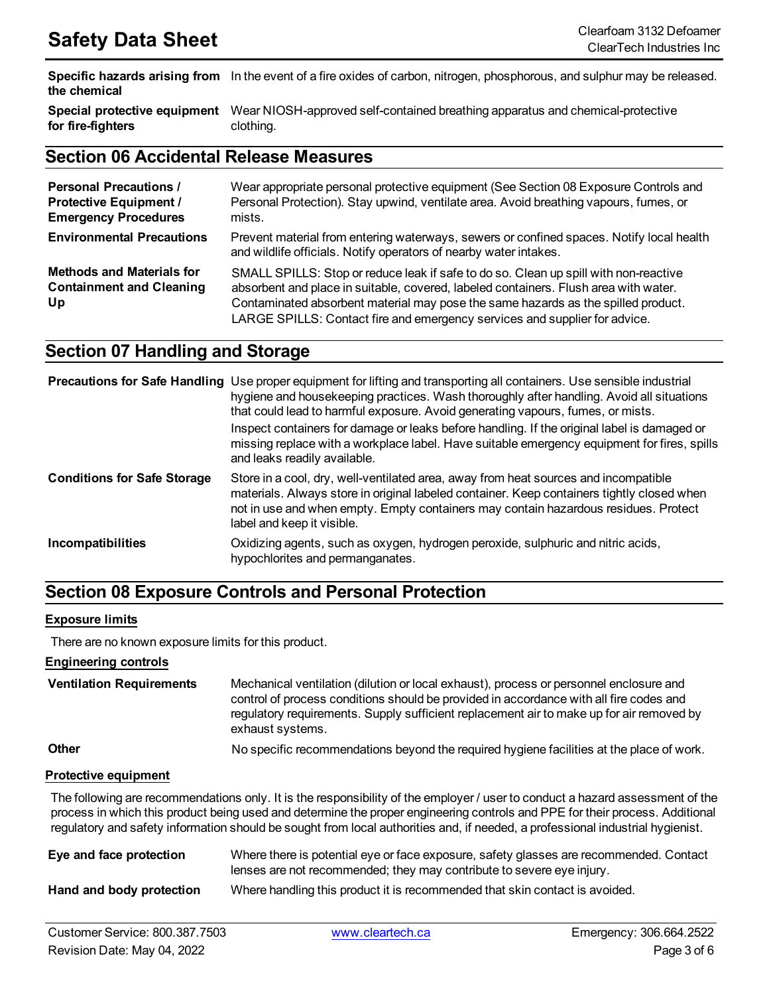**Specific hazards arising from** In the event of a fire oxides of carbon, nitrogen, phosphorous, and sulphur may be released. **the chemical**

**Special protective equipment** Wear NIOSH-approved self-contained breathing apparatus and chemical-protective **for fire-fighters** clothing.

### **Section 06 Accidental Release Measures**

| <b>Personal Precautions /</b><br><b>Protective Equipment /</b><br><b>Emergency Procedures</b> | Wear appropriate personal protective equipment (See Section 08 Exposure Controls and<br>Personal Protection). Stay upwind, ventilate area. Avoid breathing vapours, fumes, or<br>mists.                                                                                                                                                         |
|-----------------------------------------------------------------------------------------------|-------------------------------------------------------------------------------------------------------------------------------------------------------------------------------------------------------------------------------------------------------------------------------------------------------------------------------------------------|
| <b>Environmental Precautions</b>                                                              | Prevent material from entering waterways, sewers or confined spaces. Notify local health<br>and wildlife officials. Notify operators of nearby water intakes.                                                                                                                                                                                   |
| <b>Methods and Materials for</b><br><b>Containment and Cleaning</b><br>Up                     | SMALL SPILLS: Stop or reduce leak if safe to do so. Clean up spill with non-reactive<br>absorbent and place in suitable, covered, labeled containers. Flush area with water.<br>Contaminated absorbent material may pose the same hazards as the spilled product.<br>LARGE SPILLS: Contact fire and emergency services and supplier for advice. |

# **Section 07 Handling and Storage**

|                                    | Precautions for Safe Handling Use proper equipment for lifting and transporting all containers. Use sensible industrial<br>hygiene and housekeeping practices. Wash thoroughly after handling. Avoid all situations<br>that could lead to harmful exposure. Avoid generating vapours, fumes, or mists.<br>Inspect containers for damage or leaks before handling. If the original label is damaged or<br>missing replace with a workplace label. Have suitable emergency equipment for fires, spills<br>and leaks readily available. |
|------------------------------------|--------------------------------------------------------------------------------------------------------------------------------------------------------------------------------------------------------------------------------------------------------------------------------------------------------------------------------------------------------------------------------------------------------------------------------------------------------------------------------------------------------------------------------------|
| <b>Conditions for Safe Storage</b> | Store in a cool, dry, well-ventilated area, away from heat sources and incompatible<br>materials. Always store in original labeled container. Keep containers tightly closed when<br>not in use and when empty. Empty containers may contain hazardous residues. Protect<br>label and keep it visible.                                                                                                                                                                                                                               |
| <b>Incompatibilities</b>           | Oxidizing agents, such as oxygen, hydrogen peroxide, sulphuric and nitric acids,<br>hypochlorites and permanganates.                                                                                                                                                                                                                                                                                                                                                                                                                 |

# **Section 08 Exposure Controls and Personal Protection**

#### **Exposure limits**

There are no known exposure limits for this product.

**Engineering controls**

| <b>Ventilation Requirements</b> | Mechanical ventilation (dilution or local exhaust), process or personnel enclosure and<br>control of process conditions should be provided in accordance with all fire codes and<br>regulatory requirements. Supply sufficient replacement air to make up for air removed by<br>exhaust systems. |
|---------------------------------|--------------------------------------------------------------------------------------------------------------------------------------------------------------------------------------------------------------------------------------------------------------------------------------------------|
| $\mathbf{O}$                    | Ala ang aktito ng agamang ng latinga taong ng lila ng mulay dibunatang tao ilitira ng tito ay nito ng atungala                                                                                                                                                                                   |

**Other with the commendations beyond the required hygiene facilities at the place of work.** 

#### **Protective equipment**

The following are recommendations only. It is the responsibility of the employer / user to conduct a hazard assessment of the process in which this product being used and determine the proper engineering controls and PPE for their process. Additional regulatory and safety information should be sought from local authorities and, if needed, a professional industrial hygienist.

| Eye and face protection  | Where there is potential eye or face exposure, safety glasses are recommended. Contact<br>lenses are not recommended; they may contribute to severe eye injury. |
|--------------------------|-----------------------------------------------------------------------------------------------------------------------------------------------------------------|
| Hand and body protection | Where handling this product it is recommended that skin contact is avoided.                                                                                     |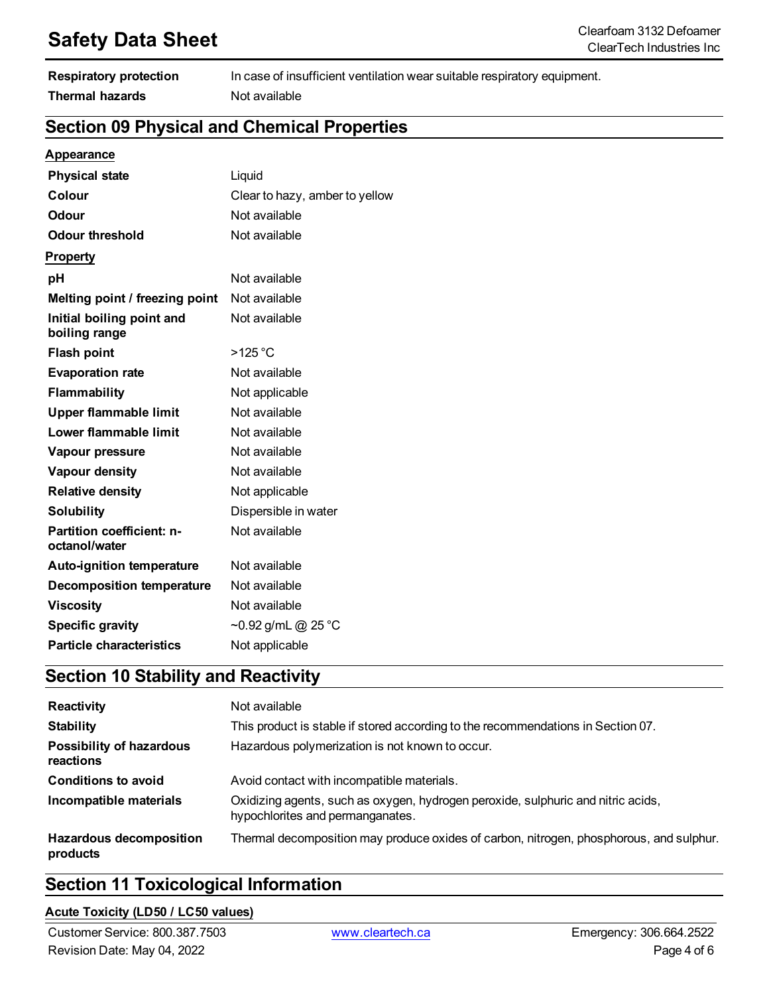# **Safety Data Sheet** Clearfoam <sup>3132</sup> Defoamer

| <b>Respiratory protection</b> | In case of insufficient ventilation wear suitable respiratory equipment. |
|-------------------------------|--------------------------------------------------------------------------|
| <b>Thermal hazards</b>        | Not available                                                            |

# **Section 09 Physical and Chemical Properties**

### **Appearance**

| <b>Physical state</b>                      | Liquid                         |
|--------------------------------------------|--------------------------------|
| Colour                                     | Clear to hazy, amber to yellow |
| <b>Odour</b>                               | Not available                  |
| Odour threshold                            | Not available                  |
| <b>Property</b>                            |                                |
| рH                                         | Not available                  |
| Melting point / freezing point             | Not available                  |
| Initial boiling point and<br>boiling range | Not available                  |
| <b>Flash point</b>                         | $>125$ °C                      |
| <b>Evaporation rate</b>                    | Not available                  |
| Flammability                               | Not applicable                 |
| <b>Upper flammable limit</b>               | Not available                  |
| Lower flammable limit                      | Not available                  |
| Vapour pressure                            | Not available                  |
| Vapour density                             | Not available                  |
| <b>Relative density</b>                    | Not applicable                 |
| <b>Solubility</b>                          | Dispersible in water           |
| Partition coefficient: n-<br>octanol/water | Not available                  |
| <b>Auto-ignition temperature</b>           | Not available                  |
| <b>Decomposition temperature</b>           | Not available                  |
| <b>Viscosity</b>                           | Not available                  |
| <b>Specific gravity</b>                    | ~0.92 g/mL @ 25 °C             |
| <b>Particle characteristics</b>            | Not applicable                 |

# **Section 10 Stability and Reactivity**

| Reactivity                                   | Not available                                                                                                        |
|----------------------------------------------|----------------------------------------------------------------------------------------------------------------------|
| <b>Stability</b>                             | This product is stable if stored according to the recommendations in Section 07.                                     |
| <b>Possibility of hazardous</b><br>reactions | Hazardous polymerization is not known to occur.                                                                      |
| <b>Conditions to avoid</b>                   | Avoid contact with incompatible materials.                                                                           |
| Incompatible materials                       | Oxidizing agents, such as oxygen, hydrogen peroxide, sulphuric and nitric acids,<br>hypochlorites and permanganates. |
| <b>Hazardous decomposition</b><br>products   | Thermal decomposition may produce oxides of carbon, nitrogen, phosphorous, and sulphur.                              |

# **Section 11 Toxicological Information**

#### **Acute Toxicity (LD50 / LC50 values)**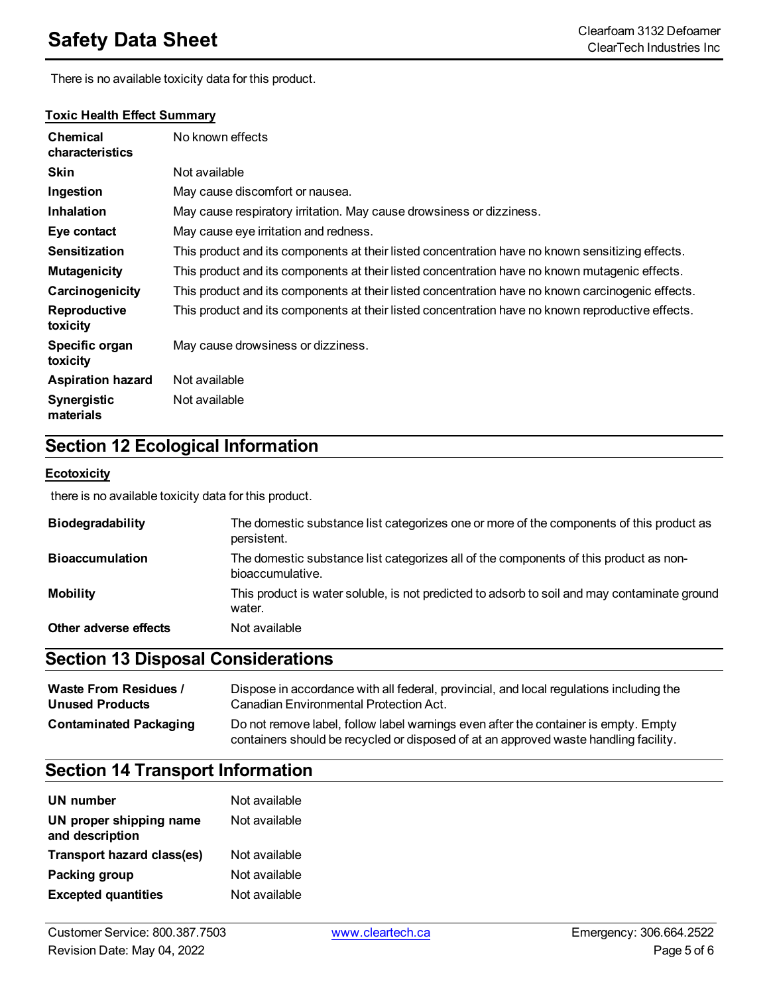# **Safety Data Sheet** Clearfoam <sup>3132</sup> Defoamer

There is no available toxicity data for this product.

| <b>Chemical</b><br>characteristics | No known effects                                                                                  |
|------------------------------------|---------------------------------------------------------------------------------------------------|
| <b>Skin</b>                        | Not available                                                                                     |
| Ingestion                          | May cause discomfort or nausea.                                                                   |
| <b>Inhalation</b>                  | May cause respiratory irritation. May cause drowsiness or dizziness.                              |
| Eye contact                        | May cause eye irritation and redness.                                                             |
| <b>Sensitization</b>               | This product and its components at their listed concentration have no known sensitizing effects.  |
| <b>Mutagenicity</b>                | This product and its components at their listed concentration have no known mutagenic effects.    |
| Carcinogenicity                    | This product and its components at their listed concentration have no known carcinogenic effects. |
| Reproductive<br>toxicity           | This product and its components at their listed concentration have no known reproductive effects. |
| Specific organ<br>toxicity         | May cause drowsiness or dizziness.                                                                |
| <b>Aspiration hazard</b>           | Not available                                                                                     |
| Synergistic<br>materials           | Not available                                                                                     |

### **Toxic Health Effect Summary**

# **Section 12 Ecological Information**

#### **Ecotoxicity**

there is no available toxicity data for this product.

| <b>Biodegradability</b> | The domestic substance list categorizes one or more of the components of this product as<br>persistent.   |
|-------------------------|-----------------------------------------------------------------------------------------------------------|
| <b>Bioaccumulation</b>  | The domestic substance list categorizes all of the components of this product as non-<br>bioaccumulative. |
| <b>Mobility</b>         | This product is water soluble, is not predicted to adsorb to soil and may contaminate ground<br>water.    |
| Other adverse effects   | Not available                                                                                             |

# **Section 13 Disposal Considerations**

| <b>Waste From Residues /</b>  | Dispose in accordance with all federal, provincial, and local regulations including the                                                                                     |
|-------------------------------|-----------------------------------------------------------------------------------------------------------------------------------------------------------------------------|
| <b>Unused Products</b>        | Canadian Environmental Protection Act.                                                                                                                                      |
| <b>Contaminated Packaging</b> | Do not remove label, follow label warnings even after the container is empty. Empty<br>containers should be recycled or disposed of at an approved waste handling facility. |

# **Section 14 Transport Information**

| UN number                                  | Not available |
|--------------------------------------------|---------------|
| UN proper shipping name<br>and description | Not available |
| Transport hazard class(es)                 | Not available |
| Packing group                              | Not available |
| <b>Excepted quantities</b>                 | Not available |